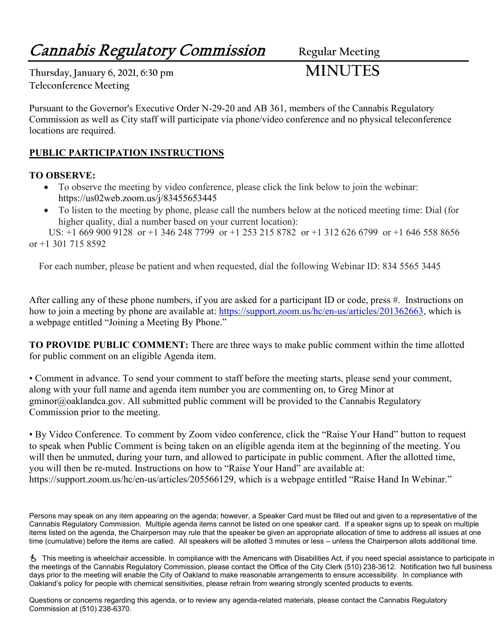# **Cannabis Regulatory Commission** Regular Meeting

**Thursday, January 6, 2021, 6:30 pm MINUTES Teleconference Meeting**

Pursuant to the Governor's Executive Order N-29-20 and AB 361, members of the Cannabis Regulatory Commission as well as City staff will participate via phone/video conference and no physical teleconference locations are required.

### **PUBLIC PARTICIPATION INSTRUCTIONS**

#### **TO OBSERVE:**

- To observe the meeting by video conference, please click the link below to join the webinar: https://us02web.zoom.us/j/83455653445
- To listen to the meeting by phone, please call the numbers below at the noticed meeting time: Dial (for higher quality, dial a number based on your current location):

 US: +1 669 900 9128 or +1 346 248 7799 or +1 253 215 8782 or +1 312 626 6799 or +1 646 558 8656 or +1 301 715 8592

For each number, please be patient and when requested, dial the following Webinar ID: 834 5565 3445

After calling any of these phone numbers, if you are asked for a participant ID or code, press #. Instructions on how to join a meeting by phone are available at: [https://support.zoom.us/hc/en-us/articles/201362663,](https://support.zoom.us/hc/en-us/articles/201362663) which is a webpage entitled "Joining a Meeting By Phone."

**TO PROVIDE PUBLIC COMMENT:** There are three ways to make public comment within the time allotted for public comment on an eligible Agenda item.

• Comment in advance. To send your comment to staff before the meeting starts, please send your comment, along with your full name and agenda item number you are commenting on, to Greg Minor at gminor@oaklandca.gov. All submitted public comment will be provided to the Cannabis Regulatory Commission prior to the meeting.

• By Video Conference. To comment by Zoom video conference, click the "Raise Your Hand" button to request to speak when Public Comment is being taken on an eligible agenda item at the beginning of the meeting. You will then be unmuted, during your turn, and allowed to participate in public comment. After the allotted time, you will then be re-muted. Instructions on how to "Raise Your Hand" are available at: https://support.zoom.us/hc/en-us/articles/205566129, which is a webpage entitled "Raise Hand In Webinar."

Persons may speak on any item appearing on the agenda; however, a Speaker Card must be filled out and given to a representative of the Cannabis Regulatory Commission. Multiple agenda items cannot be listed on one speaker card. If a speaker signs up to speak on multiple items listed on the agenda, the Chairperson may rule that the speaker be given an appropriate allocation of time to address all issues at one time (cumulative) before the items are called. All speakers will be allotted 3 minutes or less – unless the Chairperson allots additional time.

 This meeting is wheelchair accessible. In compliance with the Americans with Disabilities Act, if you need special assistance to participate in the meetings of the Cannabis Regulatory Commission, please contact the Office of the City Clerk (510) 238-3612. Notification two full business days prior to the meeting will enable the City of Oakland to make reasonable arrangements to ensure accessibility. In compliance with Oakland's policy for people with chemical sensitivities, please refrain from wearing strongly scented products to events.

Questions or concerns regarding this agenda, or to review any agenda-related materials, please contact the Cannabis Regulatory Commission at (510) 238-6370.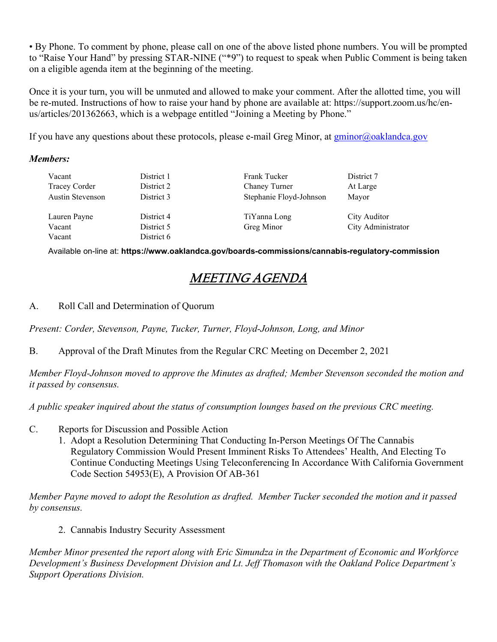• By Phone. To comment by phone, please call on one of the above listed phone numbers. You will be prompted to "Raise Your Hand" by pressing STAR-NINE ("\*9") to request to speak when Public Comment is being taken on a eligible agenda item at the beginning of the meeting.

Once it is your turn, you will be unmuted and allowed to make your comment. After the allotted time, you will be re-muted. Instructions of how to raise your hand by phone are available at: https://support.zoom.us/hc/enus/articles/201362663, which is a webpage entitled "Joining a Meeting by Phone."

If you have any questions about these protocols, please e-mail Greg Minor, at [gminor@oaklandca.gov](mailto:gminor@oaklandca.gov)

#### *Members:*

| Vacant                  | District 1 | Frank Tucker            | District 7         |
|-------------------------|------------|-------------------------|--------------------|
| Tracey Corder           | District 2 | Chaney Turner           | At Large           |
| <b>Austin Stevenson</b> | District 3 | Stephanie Floyd-Johnson | Mayor              |
|                         |            |                         |                    |
| Lauren Payne            | District 4 | TiYanna Long            | City Auditor       |
| Vacant                  | District 5 | Greg Minor              | City Administrator |
| Vacant                  | District 6 |                         |                    |

Available on-line at: **https://www.oaklandca.gov/boards-commissions/cannabis-regulatory-commission**

## MEETING AGENDA

A. Roll Call and Determination of Quorum

*Present: Corder, Stevenson, Payne, Tucker, Turner, Floyd-Johnson, Long, and Minor*

B. Approval of the Draft Minutes from the Regular CRC Meeting on December 2, 2021

*Member Floyd-Johnson moved to approve the Minutes as drafted; Member Stevenson seconded the motion and it passed by consensus.*

*A public speaker inquired about the status of consumption lounges based on the previous CRC meeting.*

- C. Reports for Discussion and Possible Action
	- 1. Adopt a Resolution Determining That Conducting In-Person Meetings Of The Cannabis Regulatory Commission Would Present Imminent Risks To Attendees' Health, And Electing To Continue Conducting Meetings Using Teleconferencing In Accordance With California Government Code Section 54953(E), A Provision Of AB-361

*Member Payne moved to adopt the Resolution as drafted. Member Tucker seconded the motion and it passed by consensus.*

2. Cannabis Industry Security Assessment

*Member Minor presented the report along with Eric Simundza in the Department of Economic and Workforce Development's Business Development Division and Lt. Jeff Thomason with the Oakland Police Department's Support Operations Division.*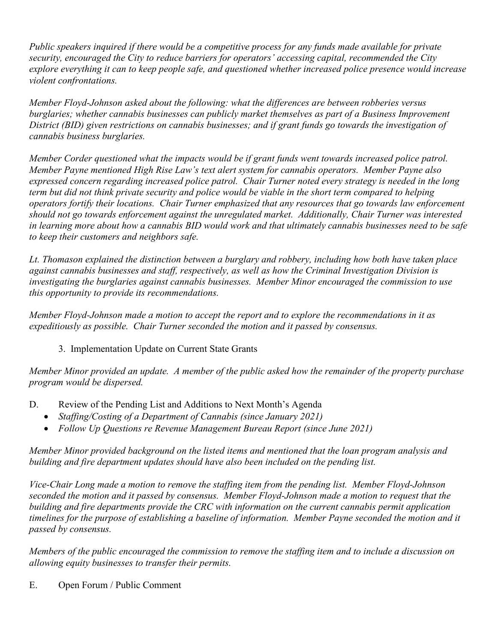*Public speakers inquired if there would be a competitive process for any funds made available for private security, encouraged the City to reduce barriers for operators' accessing capital, recommended the City explore everything it can to keep people safe, and questioned whether increased police presence would increase violent confrontations.*

*Member Floyd-Johnson asked about the following: what the differences are between robberies versus burglaries; whether cannabis businesses can publicly market themselves as part of a Business Improvement District (BID) given restrictions on cannabis businesses; and if grant funds go towards the investigation of cannabis business burglaries.*

*Member Corder questioned what the impacts would be if grant funds went towards increased police patrol. Member Payne mentioned High Rise Law's text alert system for cannabis operators. Member Payne also expressed concern regarding increased police patrol. Chair Turner noted every strategy is needed in the long term but did not think private security and police would be viable in the short term compared to helping operators fortify their locations. Chair Turner emphasized that any resources that go towards law enforcement should not go towards enforcement against the unregulated market. Additionally, Chair Turner was interested in learning more about how a cannabis BID would work and that ultimately cannabis businesses need to be safe to keep their customers and neighbors safe.*

*Lt. Thomason explained the distinction between a burglary and robbery, including how both have taken place against cannabis businesses and staff, respectively, as well as how the Criminal Investigation Division is investigating the burglaries against cannabis businesses. Member Minor encouraged the commission to use this opportunity to provide its recommendations.*

*Member Floyd-Johnson made a motion to accept the report and to explore the recommendations in it as expeditiously as possible. Chair Turner seconded the motion and it passed by consensus.*

3. Implementation Update on Current State Grants

*Member Minor provided an update. A member of the public asked how the remainder of the property purchase program would be dispersed.*

- D. Review of the Pending List and Additions to Next Month's Agenda
	- *Staffing/Costing of a Department of Cannabis (since January 2021)*
	- *Follow Up Questions re Revenue Management Bureau Report (since June 2021)*

*Member Minor provided background on the listed items and mentioned that the loan program analysis and building and fire department updates should have also been included on the pending list.* 

*Vice-Chair Long made a motion to remove the staffing item from the pending list. Member Floyd-Johnson seconded the motion and it passed by consensus. Member Floyd-Johnson made a motion to request that the building and fire departments provide the CRC with information on the current cannabis permit application timelines for the purpose of establishing a baseline of information. Member Payne seconded the motion and it passed by consensus.*

*Members of the public encouraged the commission to remove the staffing item and to include a discussion on allowing equity businesses to transfer their permits.* 

E. Open Forum / Public Comment